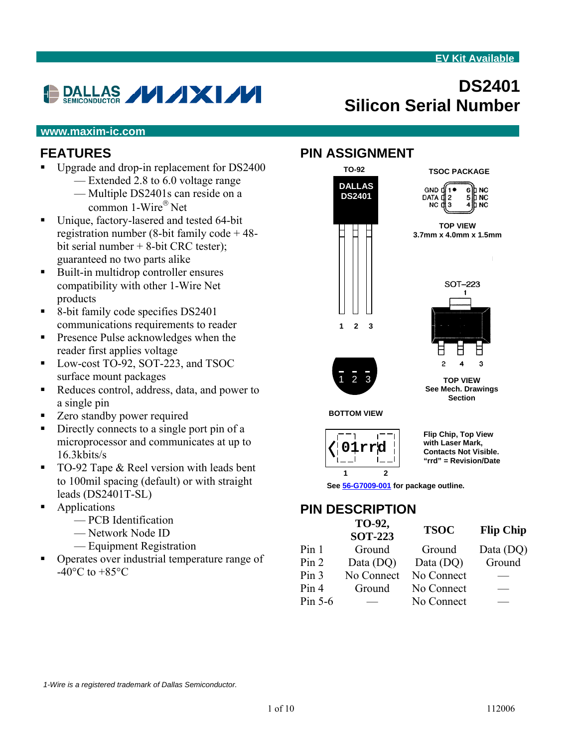# DALLAS **VI AXI /V**

# **DS2401 Silicon Serial Number**

#### **www.maxim-ic.com**

#### **FEATURES**

- Upgrade and drop-in replacement for DS2400
	- Extended 2.8 to 6.0 voltage range — Multiple DS2401s can reside on a common 1-Wire® Net
- Unique, factory-lasered and tested 64-bit registration number (8-bit family code + 48 bit serial number + 8-bit CRC tester); guaranteed no two parts alike
- Built-in multidrop controller ensures compatibility with other 1-Wire Net products
- 8-bit family code specifies DS2401 communications requirements to reader
- **Presence Pulse acknowledges when the** reader first applies voltage
- Low-cost TO-92, SOT-223, and TSOC surface mount packages
- Reduces control, address, data, and power to a single pin
- Zero standby power required
- Directly connects to a single port pin of a microprocessor and communicates at up to 16.3kbits/s
- TO-92 Tape & Reel version with leads bent to 100mil spacing (default) or with straight leads (DS2401T-SL)
- **Applications** 
	- PCB Identification
	- Network Node ID
	- Equipment Registration
- Operates over industrial temperature range of  $-40\textdegree$ C to  $+85\textdegree$ C

#### **PIN ASSIGNMENT**







**See Mech. Drawings Section** 

**TOP VIEW** 

**BOTTOM VIEW** 



**Flip Chip, Top View with Laser Mark, Contacts Not Visible. "rrd" = Revision/Date** 

**See [56-G7009-001](http://pdfserv.maxim-ic.com/package_dwgs/G7009-001.PDF) for package outline.** 

# **PIN DESCRIPTION**

|                  | TO-92,<br><b>SOT-223</b> | <b>TSOC</b> | <b>Flip Chip</b> |
|------------------|--------------------------|-------------|------------------|
| Pin <sub>1</sub> | Ground                   | Ground      | Data (DQ)        |
| Pin 2            | Data (DQ)                | Data (DQ)   | Ground           |
| Pin <sub>3</sub> | No Connect               | No Connect  |                  |
| Pin 4            | Ground                   | No Connect  |                  |
| Pin $5-6$        |                          | No Connect  |                  |

*1-Wire is a registered trademark of Dallas Semiconductor.*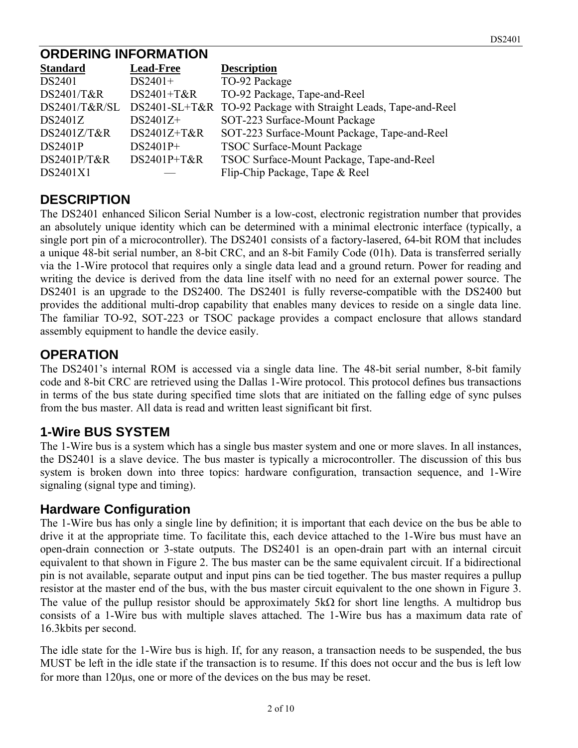#### **ORDERING INFORMATION**

| <b>Standard</b> | <b>Lead-Free</b> | <b>Description</b>                                             |
|-----------------|------------------|----------------------------------------------------------------|
| DS2401          | $DS2401+$        | TO-92 Package                                                  |
| DS2401/T&R      | DS2401+T&R       | TO-92 Package, Tape-and-Reel                                   |
| DS2401/T&R/SL   |                  | DS2401-SL+T&R TO-92 Package with Straight Leads, Tape-and-Reel |
| DS2401Z         | $DS2401Z+$       | SOT-223 Surface-Mount Package                                  |
| DS2401Z/T&R     | $DS2401Z+T&R$    | SOT-223 Surface-Mount Package, Tape-and-Reel                   |
| <b>DS2401P</b>  | $DS2401P+$       | <b>TSOC Surface-Mount Package</b>                              |
| DS2401P/T&R     | DS2401P+T&R      | TSOC Surface-Mount Package, Tape-and-Reel                      |
| DS2401X1        |                  | Flip-Chip Package, Tape & Reel                                 |

### **DESCRIPTION**

The DS2401 enhanced Silicon Serial Number is a low-cost, electronic registration number that provides an absolutely unique identity which can be determined with a minimal electronic interface (typically, a single port pin of a microcontroller). The DS2401 consists of a factory-lasered, 64-bit ROM that includes a unique 48-bit serial number, an 8-bit CRC, and an 8-bit Family Code (01h). Data is transferred serially via the 1-Wire protocol that requires only a single data lead and a ground return. Power for reading and writing the device is derived from the data line itself with no need for an external power source. The DS2401 is an upgrade to the DS2400. The DS2401 is fully reverse-compatible with the DS2400 but provides the additional multi-drop capability that enables many devices to reside on a single data line. The familiar TO-92, SOT-223 or TSOC package provides a compact enclosure that allows standard assembly equipment to handle the device easily.

### **OPERATION**

The DS2401's internal ROM is accessed via a single data line. The 48-bit serial number, 8-bit family code and 8-bit CRC are retrieved using the Dallas 1-Wire protocol. This protocol defines bus transactions in terms of the bus state during specified time slots that are initiated on the falling edge of sync pulses from the bus master. All data is read and written least significant bit first.

# **1-Wire BUS SYSTEM**

The 1-Wire bus is a system which has a single bus master system and one or more slaves. In all instances, the DS2401 is a slave device. The bus master is typically a microcontroller. The discussion of this bus system is broken down into three topics: hardware configuration, transaction sequence, and 1-Wire signaling (signal type and timing).

#### **Hardware Configuration**

The 1-Wire bus has only a single line by definition; it is important that each device on the bus be able to drive it at the appropriate time. To facilitate this, each device attached to the 1-Wire bus must have an open-drain connection or 3-state outputs. The DS2401 is an open-drain part with an internal circuit equivalent to that shown in Figure 2. The bus master can be the same equivalent circuit. If a bidirectional pin is not available, separate output and input pins can be tied together. The bus master requires a pullup resistor at the master end of the bus, with the bus master circuit equivalent to the one shown in Figure 3. The value of the pullup resistor should be approximately 5kΩ for short line lengths. A multidrop bus consists of a 1-Wire bus with multiple slaves attached. The 1-Wire bus has a maximum data rate of 16.3kbits per second.

The idle state for the 1-Wire bus is high. If, for any reason, a transaction needs to be suspended, the bus MUST be left in the idle state if the transaction is to resume. If this does not occur and the bus is left low for more than 120μs, one or more of the devices on the bus may be reset.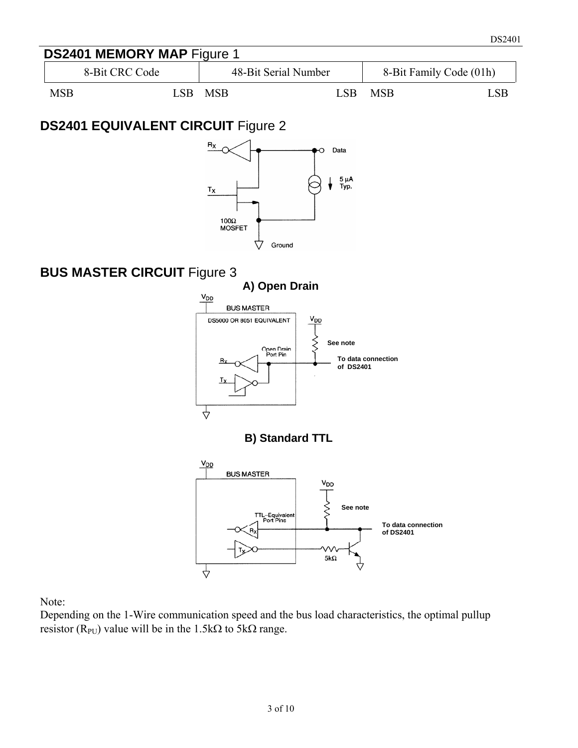

# **DS2401 EQUIVALENT CIRCUIT** Figure 2



### **BUS MASTER CIRCUIT** Figure 3



Note:

Depending on the 1-Wire communication speed and the bus load characteristics, the optimal pullup resistor (R<sub>PU</sub>) value will be in the 1.5kΩ to 5kΩ range.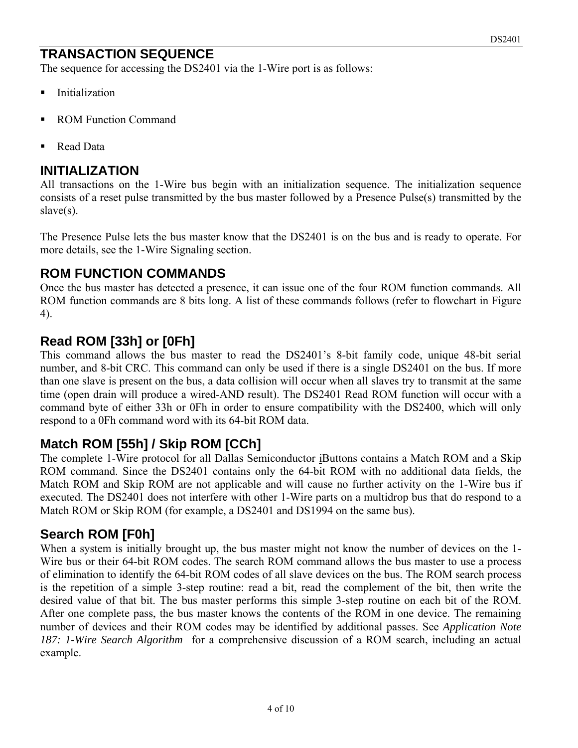# **TRANSACTION SEQUENCE**

The sequence for accessing the DS2401 via the 1-Wire port is as follows:

- **Initialization**
- ROM Function Command
- Read Data

#### **INITIALIZATION**

All transactions on the 1-Wire bus begin with an initialization sequence. The initialization sequence consists of a reset pulse transmitted by the bus master followed by a Presence Pulse(s) transmitted by the slave(s).

The Presence Pulse lets the bus master know that the DS2401 is on the bus and is ready to operate. For more details, see the 1-Wire Signaling section.

#### **ROM FUNCTION COMMANDS**

Once the bus master has detected a presence, it can issue one of the four ROM function commands. All ROM function commands are 8 bits long. A list of these commands follows (refer to flowchart in Figure 4).

### **Read ROM [33h] or [0Fh]**

This command allows the bus master to read the DS2401's 8-bit family code, unique 48-bit serial number, and 8-bit CRC. This command can only be used if there is a single DS2401 on the bus. If more than one slave is present on the bus, a data collision will occur when all slaves try to transmit at the same time (open drain will produce a wired-AND result). The DS2401 Read ROM function will occur with a command byte of either 33h or 0Fh in order to ensure compatibility with the DS2400, which will only respond to a 0Fh command word with its 64-bit ROM data.

# **Match ROM [55h] / Skip ROM [CCh]**

The complete 1-Wire protocol for all Dallas Semiconductor iButtons contains a Match ROM and a Skip ROM command. Since the DS2401 contains only the 64-bit ROM with no additional data fields, the Match ROM and Skip ROM are not applicable and will cause no further activity on the 1-Wire bus if executed. The DS2401 does not interfere with other 1-Wire parts on a multidrop bus that do respond to a Match ROM or Skip ROM (for example, a DS2401 and DS1994 on the same bus).

#### **Search ROM [F0h]**

When a system is initially brought up, the bus master might not know the number of devices on the 1- Wire bus or their 64-bit ROM codes. The search ROM command allows the bus master to use a process of elimination to identify the 64-bit ROM codes of all slave devices on the bus. The ROM search process is the repetition of a simple 3-step routine: read a bit, read the complement of the bit, then write the desired value of that bit. The bus master performs this simple 3-step routine on each bit of the ROM. After one complete pass, the bus master knows the contents of the ROM in one device. The remaining number of devices and their ROM codes may be identified by additional passes. See *Application Note 187: 1-Wire Search Algorithm* for a comprehensive discussion of a ROM search, including an actual example.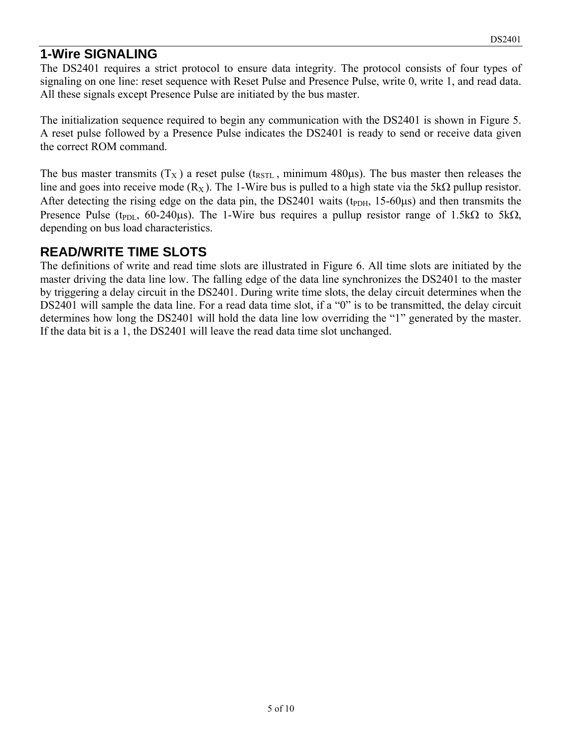### **1-Wire SIGNALING**

The DS2401 requires a strict protocol to ensure data integrity. The protocol consists of four types of signaling on one line: reset sequence with Reset Pulse and Presence Pulse, write 0, write 1, and read data. All these signals except Presence Pulse are initiated by the bus master.

The initialization sequence required to begin any communication with the DS2401 is shown in Figure 5. A reset pulse followed by a Presence Pulse indicates the DS2401 is ready to send or receive data given the correct ROM command.

The bus master transmits  $(T_X)$  a reset pulse (t<sub>RSTL</sub>, minimum 480 $\mu$ s). The bus master then releases the line and goes into receive mode ( $R_X$ ). The 1-Wire bus is pulled to a high state via the 5kΩ pullup resistor. After detecting the rising edge on the data pin, the DS2401 waits ( $t_{PDH}$ , 15-60 $\mu$ s) and then transmits the Presence Pulse (t<sub>PDL</sub>, 60-240μs). The 1-Wire bus requires a pullup resistor range of 1.5kΩ to 5kΩ, depending on bus load characteristics.

#### **READ/WRITE TIME SLOTS**

The definitions of write and read time slots are illustrated in Figure 6. All time slots are initiated by the master driving the data line low. The falling edge of the data line synchronizes the DS2401 to the master by triggering a delay circuit in the DS2401. During write time slots, the delay circuit determines when the DS2401 will sample the data line. For a read data time slot, if a "0" is to be transmitted, the delay circuit determines how long the DS2401 will hold the data line low overriding the "1" generated by the master. If the data bit is a 1, the DS2401 will leave the read data time slot unchanged.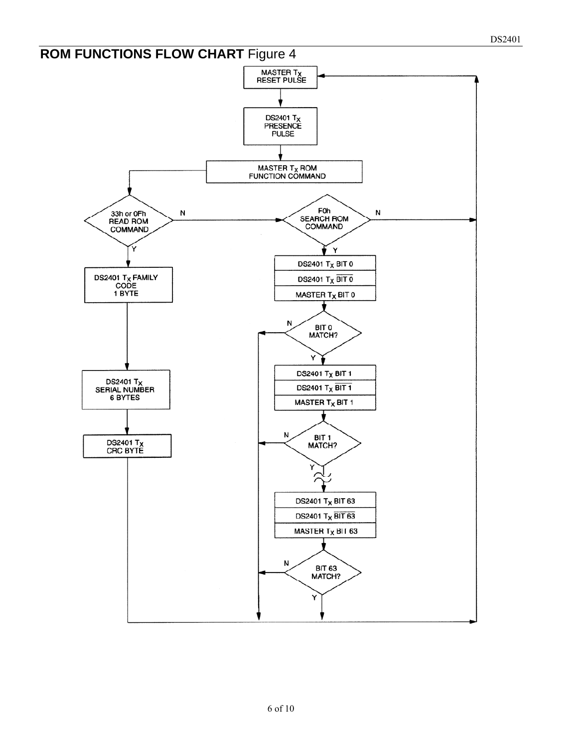# **ROM FUNCTIONS FLOW CHART Figure 4** MASTER T<sub>X</sub><br>RESET PULSE DS2401 T<sub>X</sub><br>PRESENCE<br>PULSE  $\begin{array}{c} \text{MASTER T}_X \text{ROM} \\ \text{FUNCTION COMMAND} \end{array}$ FOR<br>SEARCH ROM<br>COMMAND 33h or 0Fh<br>READ ROM<br>COMMAND N N Y **DS2401 Tx BIT 0** DS2401 T<sub>X</sub> FAMILY<br>CODE<br>1 BYTE **DS2401 T<sub>X</sub> BIT 0** MASTER T<sub>X</sub> BIT 0 N BIT 0<br>MATCH?

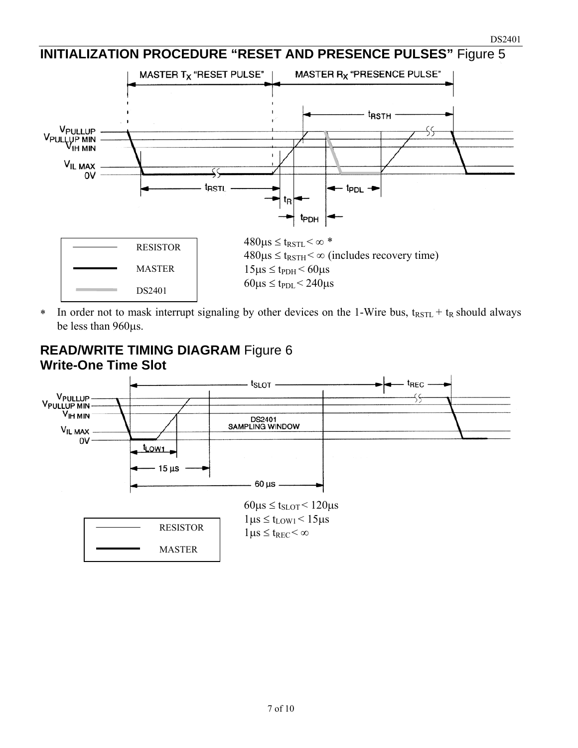#### **INITIALIZATION PROCEDURE "RESET AND PRESENCE PULSES"** Figure 5



<sup>\*</sup> In order not to mask interrupt signaling by other devices on the 1-Wire bus,  $t_{RSTL} + t_R$  should always be less than 960μs.

#### **READ/WRITE TIMING DIAGRAM** Figure 6 **Write-One Time Slot**

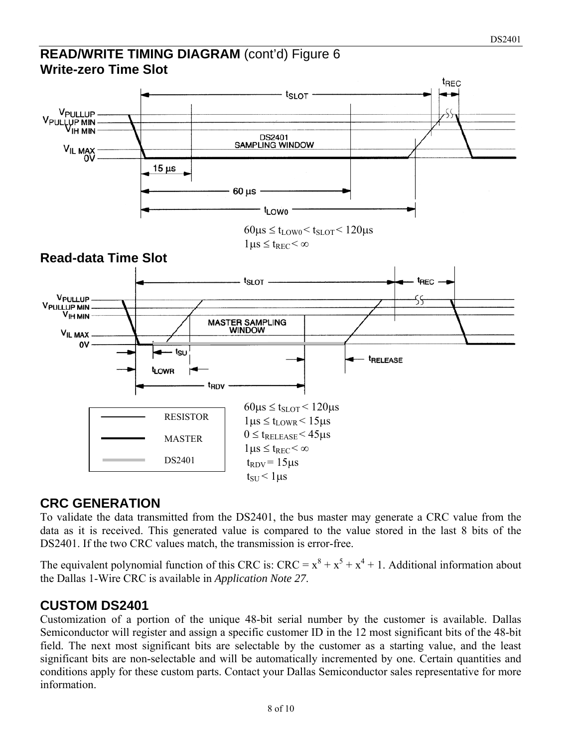#### **READ/WRITE TIMING DIAGRAM** (cont'd) Figure 6 **Write-zero Time Slot**



#### **CRC GENERATION**

To validate the data transmitted from the DS2401, the bus master may generate a CRC value from the data as it is received. This generated value is compared to the value stored in the last 8 bits of the DS2401. If the two CRC values match, the transmission is error-free.

The equivalent polynomial function of this CRC is:  $CRC = x^8 + x^5 + x^4 + 1$ . Additional information about the Dallas 1-Wire CRC is available in *Application Note 27*.

#### **CUSTOM DS2401**

Customization of a portion of the unique 48-bit serial number by the customer is available. Dallas Semiconductor will register and assign a specific customer ID in the 12 most significant bits of the 48-bit field. The next most significant bits are selectable by the customer as a starting value, and the least significant bits are non-selectable and will be automatically incremented by one. Certain quantities and conditions apply for these custom parts. Contact your Dallas Semiconductor sales representative for more information.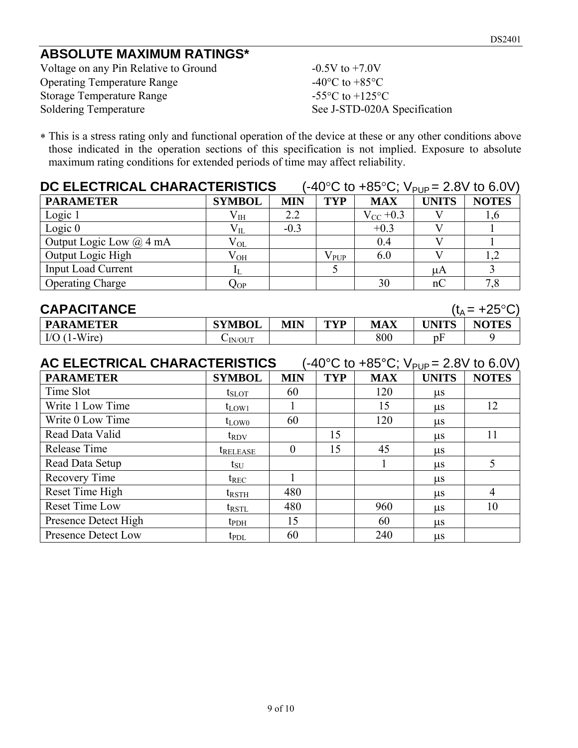# **ABSOLUTE MAXIMUM RATINGS\***

Voltage on any Pin Relative to Ground -0.5V to +7.0V Operating Temperature Range -40°C to +85°C Storage Temperature Range -55°C to +125°C Soldering Temperature See J-STD-020A Specification

∗ This is a stress rating only and functional operation of the device at these or any other conditions above those indicated in the operation sections of this specification is not implied. Exposure to absolute maximum rating conditions for extended periods of time may affect reliability.

| DC ELECTRICAL CHARACTERISTICS<br>$(-40^{\circ}$ C to $+85^{\circ}$ C; V <sub>PUP</sub> = 2.8V to 6.0V) |               |            |               |               |              |              |
|--------------------------------------------------------------------------------------------------------|---------------|------------|---------------|---------------|--------------|--------------|
| <b>PARAMETER</b>                                                                                       | <b>SYMBOL</b> | <b>MIN</b> | <b>TYP</b>    | <b>MAX</b>    | <b>UNITS</b> | <b>NOTES</b> |
| Logic 1                                                                                                | $\rm V_{IH}$  | 2.2        |               | $V_{CC}$ +0.3 |              | 1,6          |
| Logic $0$                                                                                              | $\rm V_{II}$  | $-0.3$     |               | $+0.3$        |              |              |
| Output Logic Low $(a)$ 4 mA                                                                            | $V_{OL}$      |            |               | 0.4           |              |              |
| Output Logic High                                                                                      | $\rm V_{OH}$  |            | $\rm V_{PUP}$ | 6.0           |              | 1,2          |
| <b>Input Load Current</b>                                                                              |               |            |               |               | иA           |              |
| <b>Operating Charge</b>                                                                                | $Q_{OP}$      |            |               | 30            | nC           | 7,8          |

| <b>CAPACITANCE</b> |               |            |     |            | $(t_A = +25^{\circ}C^{\circ})$ |              |
|--------------------|---------------|------------|-----|------------|--------------------------------|--------------|
| <b>PARAMETER</b>   | <b>SYMBOL</b> | <b>MIN</b> | TVD | <b>MAX</b> | <b>UNITS</b>                   | <b>NOTES</b> |
| I/O $(1-Wire)$     | UN/OUT        |            |     | 800        | pF                             |              |

| AC ELECTRICAL CHARACTERISTICS<br>$(-40^{\circ} \text{C}$ to $+85^{\circ} \text{C}$ ; $V_{\text{PUP}} = 2.8 \text{V}$ to 6.0V) |                        |            |            |            |              |                |
|-------------------------------------------------------------------------------------------------------------------------------|------------------------|------------|------------|------------|--------------|----------------|
| <b>PARAMETER</b>                                                                                                              | <b>SYMBOL</b>          | <b>MIN</b> | <b>TYP</b> | <b>MAX</b> | <b>UNITS</b> | <b>NOTES</b>   |
| Time Slot                                                                                                                     | $t_{\rm SLOT}$         | 60         |            | 120        | $\mu$ s      |                |
| Write 1 Low Time                                                                                                              | $t_{LOW1}$             |            |            | 15         | $\mu$ s      | 12             |
| Write 0 Low Time                                                                                                              | $t_{LOW0}$             | 60         |            | 120        | $\mu$ s      |                |
| Read Data Valid                                                                                                               | $t_{\rm RDV}$          |            | 15         |            | $\mu$ s      | 11             |
| Release Time                                                                                                                  | <i><b>TRELEASE</b></i> | $\theta$   | 15         | 45         | $\mu$ s      |                |
| Read Data Setup                                                                                                               | $t_{\rm SU}$           |            |            |            | $\mu$ s      | 5              |
| Recovery Time                                                                                                                 | $t_{REC}$              |            |            |            | $\mu$ s      |                |
| Reset Time High                                                                                                               | $t_{RSTH}$             | 480        |            |            | $\mu$ s      | $\overline{4}$ |
| Reset Time Low                                                                                                                | $t_{\rm RSTL}$         | 480        |            | 960        | $\mu$ s      | 10             |
| Presence Detect High                                                                                                          | $t_{\rm{PDH}}$         | 15         |            | 60         | $\mu$ s      |                |
| Presence Detect Low                                                                                                           | $t_{PDL}$              | 60         |            | 240        | $\mu$ s      |                |